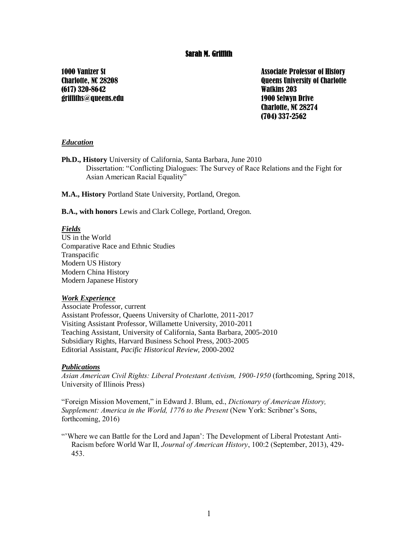## Sarah M. Griffith

1000 Vanizer St Charlotte, NC 28208 (617) 320-8642 griffiths@queens.edu Associate Professor of History Queens University of Charlotte Watkins 203 1900 Selwyn Drive Charlotte, NC 28274 (704) 337-2562

#### *Education*

**Ph.D., History** University of California, Santa Barbara, June 2010 Dissertation: "Conflicting Dialogues: The Survey of Race Relations and the Fight for Asian American Racial Equality"

**M.A., History** Portland State University, Portland, Oregon.

**B.A., with honors** Lewis and Clark College, Portland, Oregon.

#### *Fields*

US in the World Comparative Race and Ethnic Studies Transpacific Modern US History Modern China History Modern Japanese History

#### *Work Experience*

Associate Professor, current Assistant Professor, Queens University of Charlotte, 2011-2017 Visiting Assistant Professor, Willamette University, 2010-2011 Teaching Assistant, University of California, Santa Barbara, 2005-2010 Subsidiary Rights, Harvard Business School Press, 2003-2005 Editorial Assistant, *Pacific Historical Review*, 2000-2002

#### *Publications*

*Asian American Civil Rights: Liberal Protestant Activism, 1900-1950* (forthcoming, Spring 2018, University of Illinois Press)

"Foreign Mission Movement," in Edward J. Blum, ed., *Dictionary of American History, Supplement: America in the World, 1776 to the Present* (New York: Scribner's Sons, forthcoming, 2016)

"'Where we can Battle for the Lord and Japan': The Development of Liberal Protestant Anti-Racism before World War II, *Journal of American History*, 100:2 (September, 2013), 429- 453.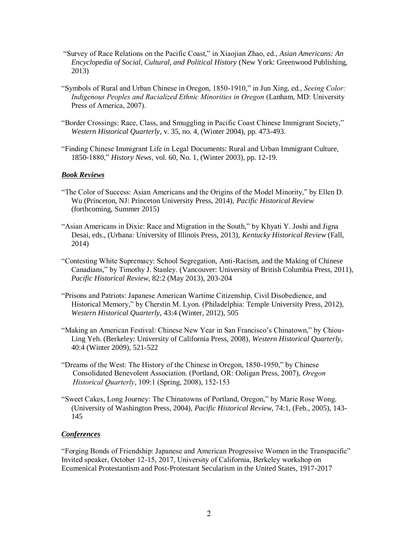- "Survey of Race Relations on the Pacific Coast," in Xiaojian Zhao, ed., *Asian Americans: An Encyclopedia of Social, Cultural, and Political History* (New York: Greenwood Publishing, 2013)
- "Symbols of Rural and Urban Chinese in Oregon, 1850-1910," in Jun Xing, ed., *Seeing Color: Indigenous Peoples and Racialized Ethnic Minorities in Oregon* (Lanham, MD: University Press of America, 2007).
- "Border Crossings: Race, Class, and Smuggling in Pacific Coast Chinese Immigrant Society," *Western Historical Quarterly*, v. 35, no. 4, (Winter 2004), pp. 473-493.
- "Finding Chinese Immigrant Life in Legal Documents: Rural and Urban Immigrant Culture, 1850-1880," *History News*, vol. 60, No. 1, (Winter 2003), pp. 12-19.

#### *Book Reviews*

- "The Color of Success: Asian Americans and the Origins of the Model Minority," by Ellen D. Wu (Princeton, NJ: Princeton University Press, 2014), *Pacific Historical Review*  (forthcoming, Summer 2015)
- "Asian Americans in Dixie: Race and Migration in the South," by Khyati Y. Joshi and Jigna Desai, eds., (Urbana: University of Illinois Press, 2013), *Kentucky Historical Review* (Fall, 2014)
- "Contesting White Supremacy: School Segregation, Anti-Racism, and the Making of Chinese Canadians," by Timothy J. Stanley. (Vancouver: University of British Columbia Press, 2011), *Pacific Historical Review,* 82:2 (May 2013), 203-204
- "Prisons and Patriots: Japanese American Wartime Citizenship, Civil Disobedience, and Historical Memory," by Cherstin M. Lyon. (Philadelphia: Temple University Press, 2012), *Western Historical Quarterly,* 43:4 (Winter, 2012), 505
- "Making an American Festival: Chinese New Year in San Francisco's Chinatown," by Chiou-Ling Yeh. (Berkeley: University of California Press, 2008), *Western Historical Quarterly*, 40:4 (Winter 2009), 521-522
- "Dreams of the West: The History of the Chinese in Oregon, 1850-1950," by Chinese Consolidated Benevolent Association. (Portland, OR: Ooligan Press, 2007), *Oregon Historical Quarterly*, 109:1 (Spring, 2008), 152-153
- "Sweet Cakes, Long Journey: The Chinatowns of Portland, Oregon," by Marie Rose Wong. (University of Washington Press, 2004), *Pacific Historical Review*, 74:1, (Feb., 2005), 143- 145

#### *Conferences*

"Forging Bonds of Friendship: Japanese and American Progressive Women in the Transpacific" Invited speaker, October 12-15, 2017, University of California, Berkeley workshop on Ecumenical Protestantism and Post-Protestant Secularism in the United States, 1917-2017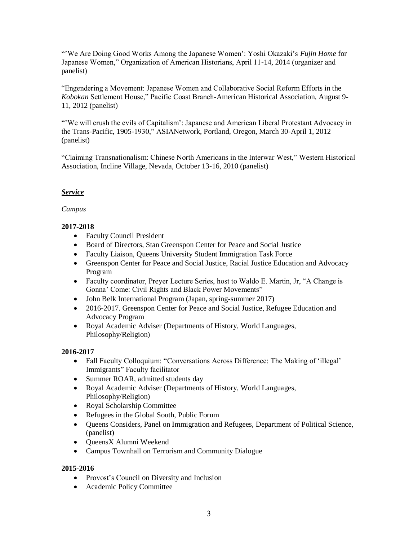"'We Are Doing Good Works Among the Japanese Women': Yoshi Okazaki's *Fujin Home* for Japanese Women," Organization of American Historians, April 11-14, 2014 (organizer and panelist)

"Engendering a Movement: Japanese Women and Collaborative Social Reform Efforts in the *Kobokan* Settlement House," Pacific Coast Branch-American Historical Association, August 9- 11, 2012 (panelist)

"'We will crush the evils of Capitalism': Japanese and American Liberal Protestant Advocacy in the Trans-Pacific, 1905-1930," ASIANetwork, Portland, Oregon, March 30-April 1, 2012 (panelist)

"Claiming Transnationalism: Chinese North Americans in the Interwar West," Western Historical Association, Incline Village, Nevada, October 13-16, 2010 (panelist)

## *Service*

## *Campus*

## **2017-2018**

- Faculty Council President
- Board of Directors, Stan Greenspon Center for Peace and Social Justice
- Faculty Liaison, Queens University Student Immigration Task Force
- Greenspon Center for Peace and Social Justice, Racial Justice Education and Advocacy Program
- Faculty coordinator, Preyer Lecture Series, host to Waldo E. Martin, Jr, "A Change is Gonna' Come: Civil Rights and Black Power Movements"
- John Belk International Program (Japan, spring-summer 2017)
- 2016-2017. Greenspon Center for Peace and Social Justice, Refugee Education and Advocacy Program
- Royal Academic Adviser (Departments of History, World Languages, Philosophy/Religion)

## **2016-2017**

- Fall Faculty Colloquium: "Conversations Across Difference: The Making of 'illegal' Immigrants" Faculty facilitator
- Summer ROAR, admitted students day
- Royal Academic Adviser (Departments of History, World Languages, Philosophy/Religion)
- Royal Scholarship Committee
- Refugees in the Global South, Public Forum
- Queens Considers, Panel on Immigration and Refugees, Department of Political Science, (panelist)
- QueensX Alumni Weekend
- Campus Townhall on Terrorism and Community Dialogue

## **2015-2016**

- Provost's Council on Diversity and Inclusion
- Academic Policy Committee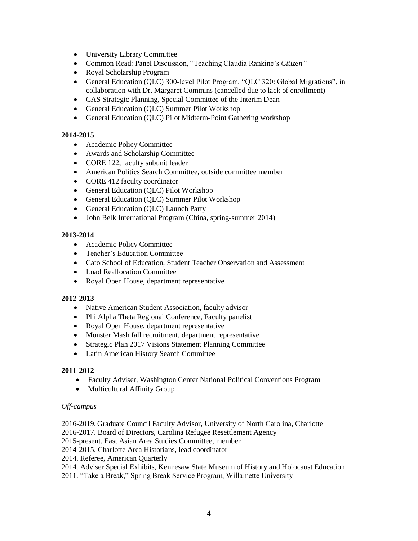- University Library Committee
- Common Read: Panel Discussion, "Teaching Claudia Rankine's *Citizen"*
- Royal Scholarship Program
- General Education (QLC) 300-level Pilot Program, "QLC 320: Global Migrations", in collaboration with Dr. Margaret Commins (cancelled due to lack of enrollment)
- CAS Strategic Planning, Special Committee of the Interim Dean
- General Education (QLC) Summer Pilot Workshop
- General Education (QLC) Pilot Midterm-Point Gathering workshop

## **2014-2015**

- Academic Policy Committee
- Awards and Scholarship Committee
- CORE 122, faculty subunit leader
- American Politics Search Committee, outside committee member
- CORE 412 faculty coordinator
- General Education (OLC) Pilot Workshop
- General Education (QLC) Summer Pilot Workshop
- General Education (QLC) Launch Party
- John Belk International Program (China, spring-summer 2014)

## **2013-2014**

- Academic Policy Committee
- Teacher's Education Committee
- Cato School of Education, Student Teacher Observation and Assessment
- Load Reallocation Committee
- Royal Open House, department representative

## **2012-2013**

- Native American Student Association, faculty advisor
- Phi Alpha Theta Regional Conference, Faculty panelist
- Royal Open House, department representative
- Monster Mash fall recruitment, department representative
- Strategic Plan 2017 Visions Statement Planning Committee
- Latin American History Search Committee

## **2011-2012**

- Faculty Adviser, Washington Center National Political Conventions Program
- Multicultural Affinity Group

## *Off-campus*

- 2016-2019. Graduate Council Faculty Advisor, University of North Carolina, Charlotte
- 2016-2017. Board of Directors, Carolina Refugee Resettlement Agency
- 2015-present. East Asian Area Studies Committee, member
- 2014-2015. Charlotte Area Historians, lead coordinator
- 2014. Referee, American Quarterly

2014. Adviser Special Exhibits, Kennesaw State Museum of History and Holocaust Education

2011. "Take a Break," Spring Break Service Program, Willamette University